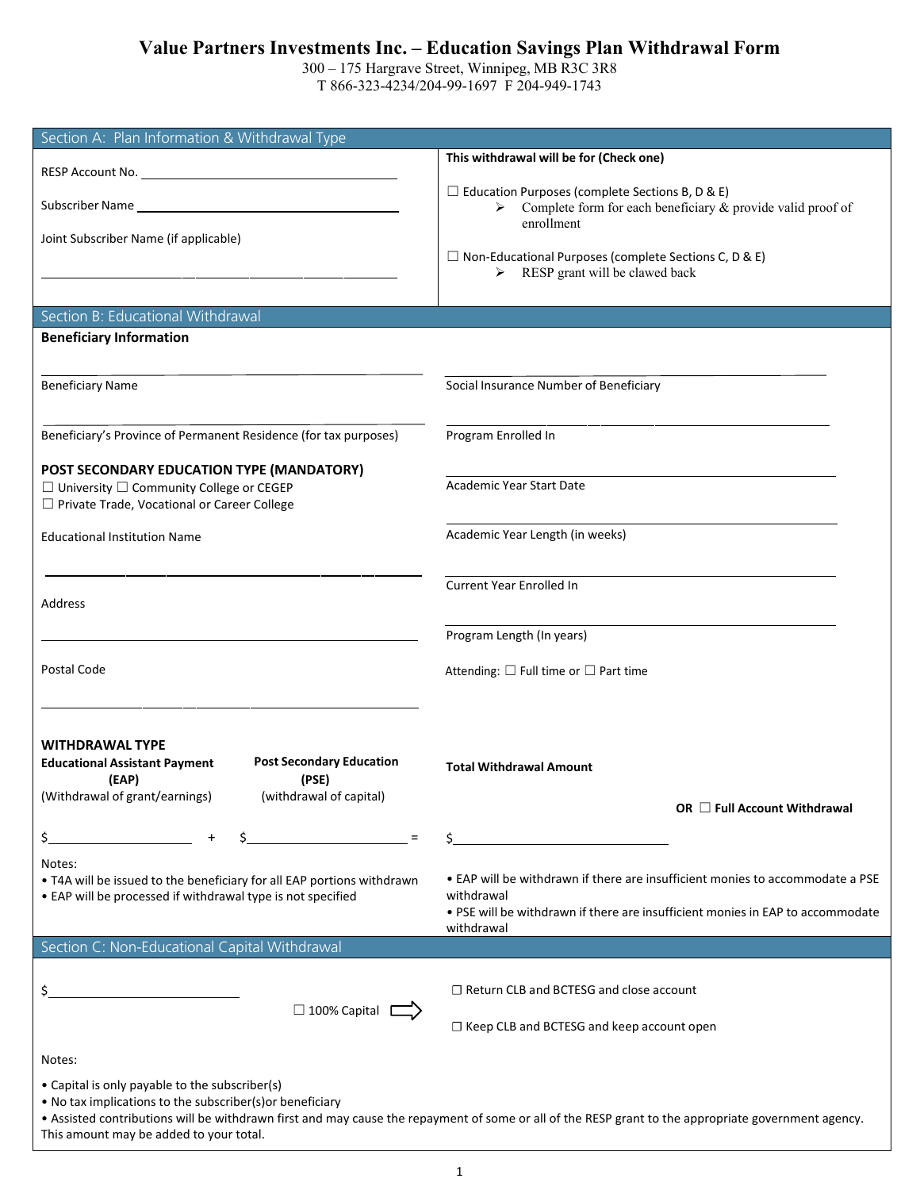# **Value Partners Investments Inc. – Education Savings Plan Withdrawal Form**

300 – 175 Hargrave Street, Winnipeg, MB R3C 3R8 T 866-323-4234/204-99-1697 F 204-949-1743

| Section A: Plan Information & Withdrawal Type                                                                                                                                    |                                                                                                                                                                                             |  |  |  |  |  |
|----------------------------------------------------------------------------------------------------------------------------------------------------------------------------------|---------------------------------------------------------------------------------------------------------------------------------------------------------------------------------------------|--|--|--|--|--|
|                                                                                                                                                                                  | This withdrawal will be for (Check one)                                                                                                                                                     |  |  |  |  |  |
| Subscriber Name                                                                                                                                                                  | $\Box$ Education Purposes (complete Sections B, D & E)<br>Complete form for each beneficiary & provide valid proof of<br>➤                                                                  |  |  |  |  |  |
| Joint Subscriber Name (if applicable)                                                                                                                                            | enrollment<br>$\Box$ Non-Educational Purposes (complete Sections C, D & E)                                                                                                                  |  |  |  |  |  |
|                                                                                                                                                                                  | $\triangleright$ RESP grant will be clawed back                                                                                                                                             |  |  |  |  |  |
| Section B: Educational Withdrawal                                                                                                                                                |                                                                                                                                                                                             |  |  |  |  |  |
| <b>Beneficiary Information</b>                                                                                                                                                   |                                                                                                                                                                                             |  |  |  |  |  |
|                                                                                                                                                                                  |                                                                                                                                                                                             |  |  |  |  |  |
| <b>Beneficiary Name</b>                                                                                                                                                          | Social Insurance Number of Beneficiary                                                                                                                                                      |  |  |  |  |  |
| Beneficiary's Province of Permanent Residence (for tax purposes)                                                                                                                 | Program Enrolled In                                                                                                                                                                         |  |  |  |  |  |
| POST SECONDARY EDUCATION TYPE (MANDATORY)<br>$\Box$ University $\Box$ Community College or CEGEP<br>□ Private Trade, Vocational or Career College                                | <b>Academic Year Start Date</b>                                                                                                                                                             |  |  |  |  |  |
| <b>Educational Institution Name</b>                                                                                                                                              | Academic Year Length (in weeks)                                                                                                                                                             |  |  |  |  |  |
| Address                                                                                                                                                                          | Current Year Enrolled In                                                                                                                                                                    |  |  |  |  |  |
|                                                                                                                                                                                  | Program Length (In years)                                                                                                                                                                   |  |  |  |  |  |
| Postal Code                                                                                                                                                                      | Attending: $\square$ Full time or $\square$ Part time                                                                                                                                       |  |  |  |  |  |
| <b>WITHDRAWAL TYPE</b><br><b>Post Secondary Education</b><br><b>Educational Assistant Payment</b><br>(PSE)<br>(EAP)<br>(Withdrawal of grant/earnings)<br>(withdrawal of capital) | <b>Total Withdrawal Amount</b><br>OR $\Box$ Full Account Withdrawal                                                                                                                         |  |  |  |  |  |
|                                                                                                                                                                                  |                                                                                                                                                                                             |  |  |  |  |  |
| Notes:<br>. T4A will be issued to the beneficiary for all EAP portions withdrawn<br>• EAP will be processed if withdrawal type is not specified                                  | • EAP will be withdrawn if there are insufficient monies to accommodate a PSE<br>withdrawal<br>. PSE will be withdrawn if there are insufficient monies in EAP to accommodate<br>withdrawal |  |  |  |  |  |
| Section C: Non-Educational Capital Withdrawal                                                                                                                                    |                                                                                                                                                                                             |  |  |  |  |  |
| □ 100% Capital                                                                                                                                                                   | $\Box$ Return CLB and BCTESG and close account<br>$\Box$ Keep CLB and BCTESG and keep account open                                                                                          |  |  |  |  |  |
| Notes:                                                                                                                                                                           |                                                                                                                                                                                             |  |  |  |  |  |
| • Capital is only payable to the subscriber(s)<br>. No tax implications to the subscriber(s) or beneficiary<br>This amount may be added to your total.                           | . Assisted contributions will be withdrawn first and may cause the repayment of some or all of the RESP grant to the appropriate government agency.                                         |  |  |  |  |  |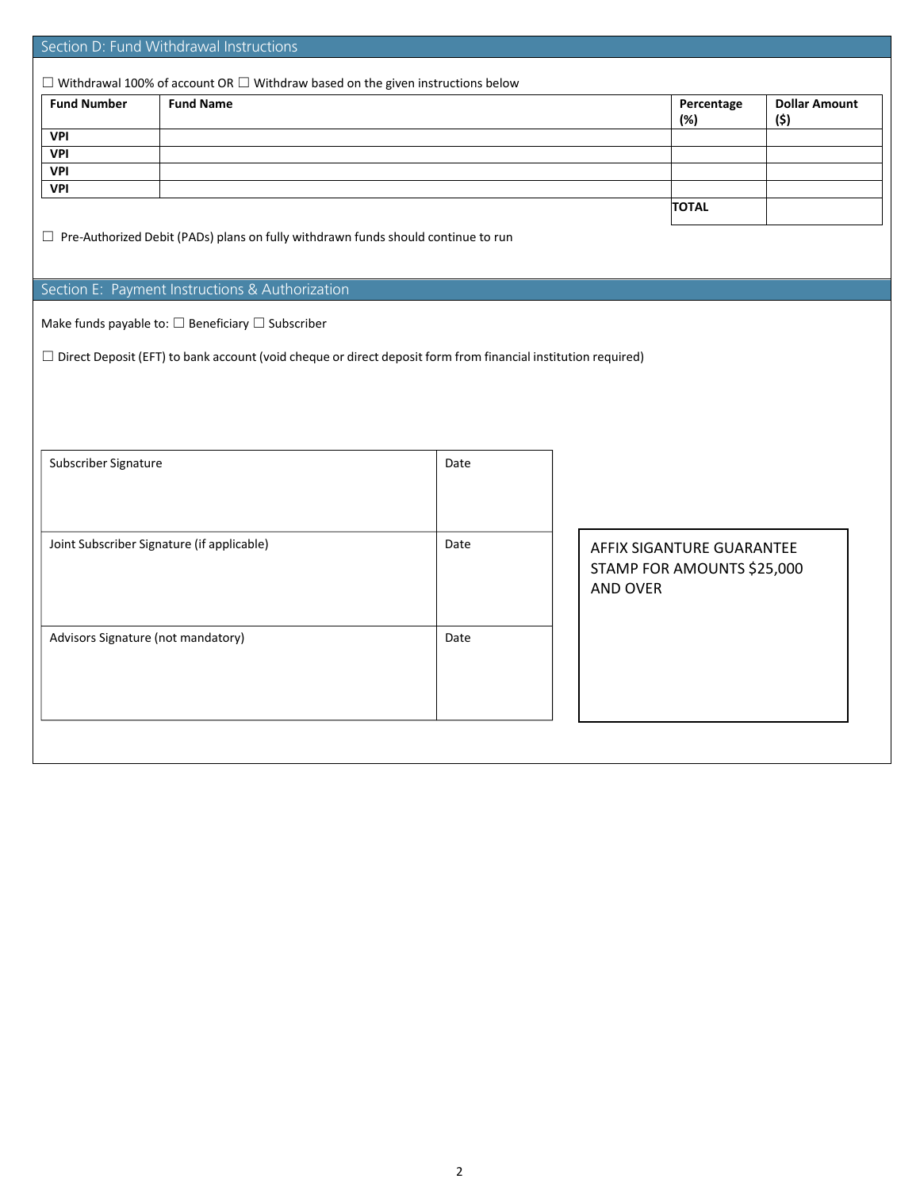| Section D: Fund Withdrawal Instructions                                                                              |                                                                   |      |                 |                            |                              |  |  |
|----------------------------------------------------------------------------------------------------------------------|-------------------------------------------------------------------|------|-----------------|----------------------------|------------------------------|--|--|
|                                                                                                                      |                                                                   |      |                 |                            |                              |  |  |
| $\Box$ Withdrawal 100% of account OR $\Box$ Withdraw based on the given instructions below                           |                                                                   |      |                 |                            |                              |  |  |
| <b>Fund Number</b>                                                                                                   | <b>Fund Name</b>                                                  |      |                 | Percentage<br>(%)          | <b>Dollar Amount</b><br>(\$) |  |  |
| <b>VPI</b>                                                                                                           |                                                                   |      |                 |                            |                              |  |  |
| <b>VPI</b>                                                                                                           |                                                                   |      |                 |                            |                              |  |  |
| <b>VPI</b>                                                                                                           |                                                                   |      |                 |                            |                              |  |  |
| <b>VPI</b>                                                                                                           |                                                                   |      |                 |                            |                              |  |  |
|                                                                                                                      |                                                                   |      | <b>TOTAL</b>    |                            |                              |  |  |
|                                                                                                                      |                                                                   |      |                 |                            |                              |  |  |
| $\Box$ Pre-Authorized Debit (PADs) plans on fully withdrawn funds should continue to run                             |                                                                   |      |                 |                            |                              |  |  |
|                                                                                                                      |                                                                   |      |                 |                            |                              |  |  |
|                                                                                                                      | Section E: Payment Instructions & Authorization                   |      |                 |                            |                              |  |  |
|                                                                                                                      |                                                                   |      |                 |                            |                              |  |  |
|                                                                                                                      | Make funds payable to: $\square$ Beneficiary $\square$ Subscriber |      |                 |                            |                              |  |  |
|                                                                                                                      |                                                                   |      |                 |                            |                              |  |  |
| $\Box$ Direct Deposit (EFT) to bank account (void cheque or direct deposit form from financial institution required) |                                                                   |      |                 |                            |                              |  |  |
|                                                                                                                      |                                                                   |      |                 |                            |                              |  |  |
|                                                                                                                      |                                                                   |      |                 |                            |                              |  |  |
|                                                                                                                      |                                                                   |      |                 |                            |                              |  |  |
|                                                                                                                      |                                                                   |      |                 |                            |                              |  |  |
|                                                                                                                      |                                                                   |      |                 |                            |                              |  |  |
| Subscriber Signature                                                                                                 |                                                                   | Date |                 |                            |                              |  |  |
|                                                                                                                      |                                                                   |      |                 |                            |                              |  |  |
|                                                                                                                      |                                                                   |      |                 |                            |                              |  |  |
|                                                                                                                      |                                                                   |      |                 |                            |                              |  |  |
|                                                                                                                      |                                                                   |      |                 |                            |                              |  |  |
| Joint Subscriber Signature (if applicable)<br>Date                                                                   |                                                                   |      |                 | AFFIX SIGANTURE GUARANTEE  |                              |  |  |
|                                                                                                                      |                                                                   |      |                 | STAMP FOR AMOUNTS \$25,000 |                              |  |  |
|                                                                                                                      |                                                                   |      | <b>AND OVER</b> |                            |                              |  |  |
|                                                                                                                      |                                                                   |      |                 |                            |                              |  |  |
|                                                                                                                      |                                                                   |      |                 |                            |                              |  |  |
| Advisors Signature (not mandatory)                                                                                   |                                                                   | Date |                 |                            |                              |  |  |
|                                                                                                                      |                                                                   |      |                 |                            |                              |  |  |
|                                                                                                                      |                                                                   |      |                 |                            |                              |  |  |
|                                                                                                                      |                                                                   |      |                 |                            |                              |  |  |
|                                                                                                                      |                                                                   |      |                 |                            |                              |  |  |